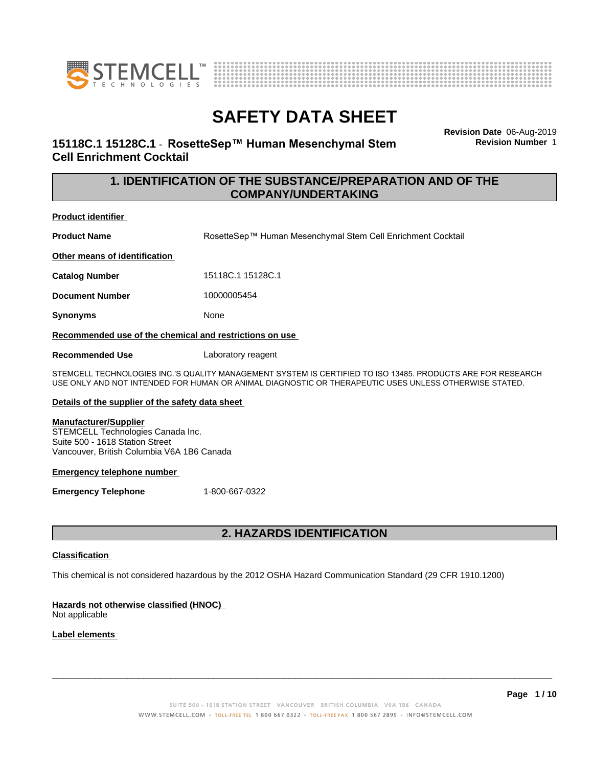



**Revision Date** 06-Aug-2019 **Revision Number** 1

## **15118C.1 15128C.1 ⋅ RosetteSep™ Human Mesenchymal Stem Cell Enrichment Cocktail**

## **1. IDENTIFICATION OF THE SUBSTANCE/PREPARATION AND OF THE COMPANY/UNDERTAKING**

#### **Product identifier**

**Product Name** RosetteSep™ Human Mesenchymal Stem Cell Enrichment Cocktail

**Other means of identification**

**Catalog Number** 15118C.1 15128C.1

**Document Number** 10000005454

**Synonyms** None

**Recommended use of the chemical and restrictions on use**

**Recommended Use** Laboratory reagent

STEMCELL TECHNOLOGIES INC.'S QUALITY MANAGEMENT SYSTEM IS CERTIFIED TO ISO 13485. PRODUCTS ARE FOR RESEARCH USE ONLY AND NOT INTENDED FOR HUMAN OR ANIMAL DIAGNOSTIC OR THERAPEUTIC USES UNLESS OTHERWISE STATED.

#### **Details of the supplier of the safety data sheet**

#### **Manufacturer/Supplier**

STEMCELL Technologies Canada Inc. Suite 500 - 1618 Station Street Vancouver, British Columbia V6A 1B6 Canada

#### **Emergency telephone number**

**Emergency Telephone** 1-800-667-0322

## **2. HAZARDS IDENTIFICATION**

#### **Classification**

This chemical is not considered hazardous by the 2012 OSHA Hazard Communication Standard (29 CFR 1910.1200)

## **Hazards not otherwise classified (HNOC)**

Not applicable

## **Label elements**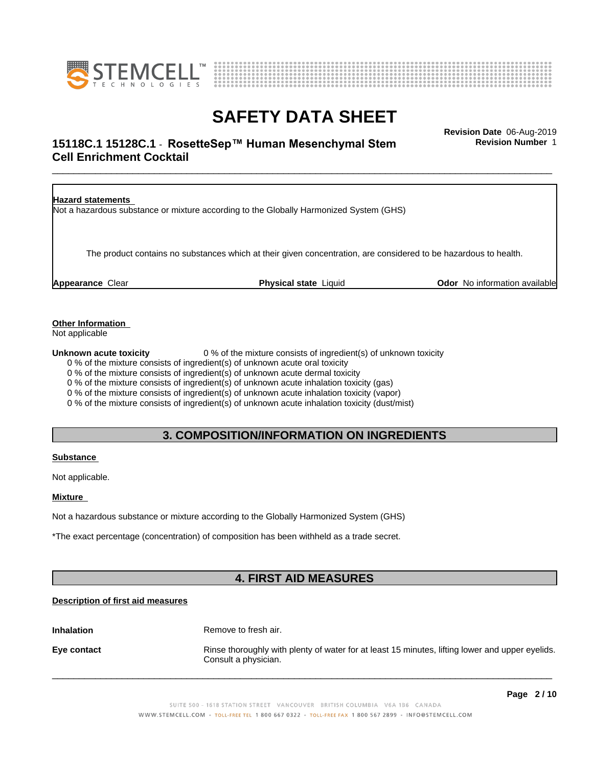



## \_\_\_\_\_\_\_\_\_\_\_\_\_\_\_\_\_\_\_\_\_\_\_\_\_\_\_\_\_\_\_\_\_\_\_\_\_\_\_\_\_\_\_\_\_\_\_\_\_\_\_\_\_\_\_\_\_\_\_\_\_\_\_\_\_\_\_\_\_\_\_\_\_\_\_\_\_\_\_\_\_\_\_\_\_\_\_\_\_\_\_\_\_ **Revision Date** 06-Aug-2019 **15118C.1 15128C.1 - RosetteSep™ Human Mesenchymal Stem Fundity Revision Number 1 Cell Enrichment Cocktail**

**Revision Number** 1

| <b>Hazard statements</b> | Not a hazardous substance or mixture according to the Globally Harmonized System (GHS)                           |                                      |
|--------------------------|------------------------------------------------------------------------------------------------------------------|--------------------------------------|
|                          | The product contains no substances which at their given concentration, are considered to be hazardous to health. |                                      |
| <b>Appearance Clear</b>  | <b>Physical state Liquid</b>                                                                                     | <b>Odor</b> No information available |

## **Other Information**

Not applicable

**Unknown acute toxicity** 0 % of the mixture consists of ingredient(s) of unknown toxicity

0 % of the mixture consists of ingredient(s) of unknown acute oral toxicity

0 % of the mixture consists of ingredient(s) of unknown acute dermal toxicity

0 % of the mixture consists of ingredient(s) of unknown acute inhalation toxicity (gas)

0 % of the mixture consists of ingredient(s) of unknown acute inhalation toxicity (vapor)

0 % of the mixture consists of ingredient(s) of unknown acute inhalation toxicity (dust/mist)

## **3. COMPOSITION/INFORMATION ON INGREDIENTS**

#### **Substance**

Not applicable.

#### **Mixture**

Not a hazardous substance or mixture according to the Globally Harmonized System (GHS)

\*The exact percentage (concentration) of composition has been withheld as a trade secret.

## **4. FIRST AID MEASURES**

## **Description of first aid measures**

**Inhalation** Remove to fresh air.

**Eye contact Rinse thoroughly with plenty of water for at least 15 minutes, lifting lower and upper eyelids.** Consult a physician.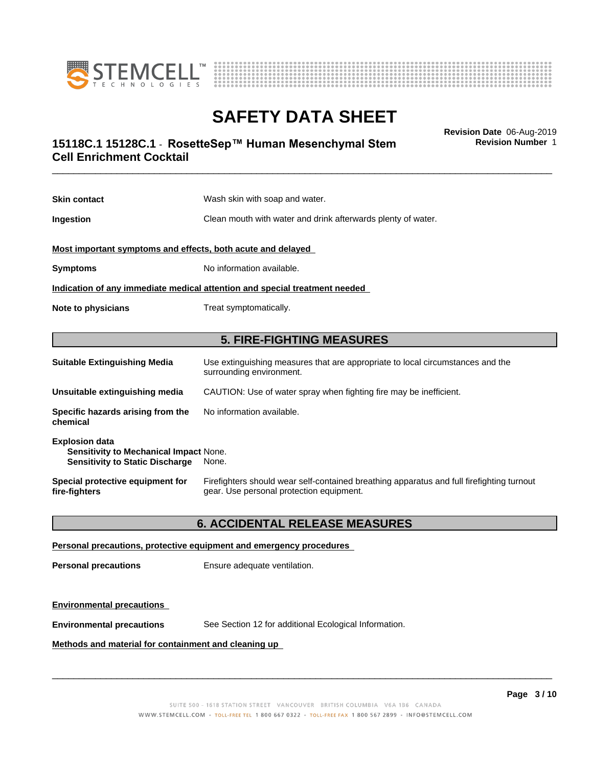



**Revision Number** 1

## \_\_\_\_\_\_\_\_\_\_\_\_\_\_\_\_\_\_\_\_\_\_\_\_\_\_\_\_\_\_\_\_\_\_\_\_\_\_\_\_\_\_\_\_\_\_\_\_\_\_\_\_\_\_\_\_\_\_\_\_\_\_\_\_\_\_\_\_\_\_\_\_\_\_\_\_\_\_\_\_\_\_\_\_\_\_\_\_\_\_\_\_\_ **Revision Date** 06-Aug-2019 **15118C.1 15128C.1 - RosetteSep™ Human Mesenchymal Stem Fundity Revision Number 1 Cell Enrichment Cocktail**

| <b>Skin contact</b>                                                                                              | Wash skin with soap and water.                                                                                                        |  |
|------------------------------------------------------------------------------------------------------------------|---------------------------------------------------------------------------------------------------------------------------------------|--|
| Ingestion                                                                                                        | Clean mouth with water and drink afterwards plenty of water.                                                                          |  |
| Most important symptoms and effects, both acute and delayed                                                      |                                                                                                                                       |  |
| <b>Symptoms</b>                                                                                                  | No information available.                                                                                                             |  |
|                                                                                                                  | Indication of any immediate medical attention and special treatment needed                                                            |  |
| Note to physicians                                                                                               | Treat symptomatically.                                                                                                                |  |
|                                                                                                                  |                                                                                                                                       |  |
|                                                                                                                  | <b>5. FIRE-FIGHTING MEASURES</b>                                                                                                      |  |
| <b>Suitable Extinguishing Media</b>                                                                              | Use extinguishing measures that are appropriate to local circumstances and the<br>surrounding environment.                            |  |
| Unsuitable extinguishing media                                                                                   | CAUTION: Use of water spray when fighting fire may be inefficient.                                                                    |  |
| Specific hazards arising from the<br>chemical                                                                    | No information available.                                                                                                             |  |
| <b>Explosion data</b><br><b>Sensitivity to Mechanical Impact None.</b><br><b>Sensitivity to Static Discharge</b> | None.                                                                                                                                 |  |
| Special protective equipment for<br>fire-fighters                                                                | Firefighters should wear self-contained breathing apparatus and full firefighting turnout<br>gear. Use personal protection equipment. |  |

## **6. ACCIDENTAL RELEASE MEASURES**

#### **Personal precautions, protective equipment and emergency procedures**

**Personal precautions** Ensure adequate ventilation.

#### **Environmental precautions**

**Environmental precautions** See Section 12 for additional Ecological Information.

## **Methods and material for containment and cleaning up**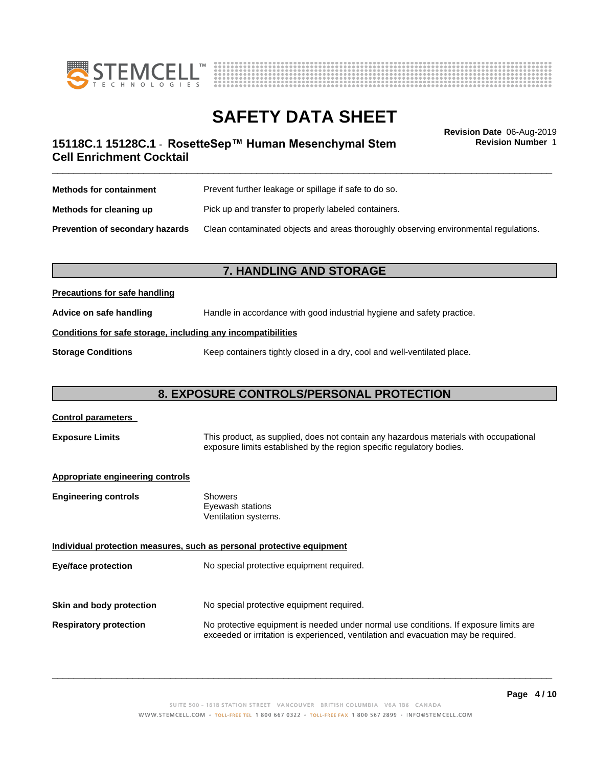



**Revision Number** 1

## \_\_\_\_\_\_\_\_\_\_\_\_\_\_\_\_\_\_\_\_\_\_\_\_\_\_\_\_\_\_\_\_\_\_\_\_\_\_\_\_\_\_\_\_\_\_\_\_\_\_\_\_\_\_\_\_\_\_\_\_\_\_\_\_\_\_\_\_\_\_\_\_\_\_\_\_\_\_\_\_\_\_\_\_\_\_\_\_\_\_\_\_\_ **Revision Date** 06-Aug-2019 **15118C.1 15128C.1 - RosetteSep™ Human Mesenchymal Stem Fundity Revision Number 1 Cell Enrichment Cocktail**

| <b>Methods for containment</b>         | Prevent further leakage or spillage if safe to do so.                                |
|----------------------------------------|--------------------------------------------------------------------------------------|
| Methods for cleaning up                | Pick up and transfer to properly labeled containers.                                 |
| <b>Prevention of secondary hazards</b> | Clean contaminated objects and areas thoroughly observing environmental regulations. |

## **7. HANDLING AND STORAGE**

## **Precautions for safe handling**

**Advice on safe handling** Handle in accordance with good industrial hygiene and safety practice.

### **Conditions for safe storage, including any incompatibilities**

**Storage Conditions** Keep containers tightly closed in a dry, cool and well-ventilated place.

## **8. EXPOSURE CONTROLS/PERSONAL PROTECTION**

| <b>Control parameters</b>                                                                                                                                                                |                                                                                                                                                                             |
|------------------------------------------------------------------------------------------------------------------------------------------------------------------------------------------|-----------------------------------------------------------------------------------------------------------------------------------------------------------------------------|
| This product, as supplied, does not contain any hazardous materials with occupational<br><b>Exposure Limits</b><br>exposure limits established by the region specific regulatory bodies. |                                                                                                                                                                             |
| <b>Appropriate engineering controls</b>                                                                                                                                                  |                                                                                                                                                                             |
| <b>Engineering controls</b>                                                                                                                                                              | Showers<br>Eyewash stations<br>Ventilation systems.                                                                                                                         |
|                                                                                                                                                                                          | Individual protection measures, such as personal protective equipment                                                                                                       |
| Eye/face protection                                                                                                                                                                      | No special protective equipment required.                                                                                                                                   |
| Skin and body protection                                                                                                                                                                 | No special protective equipment required.                                                                                                                                   |
|                                                                                                                                                                                          |                                                                                                                                                                             |
| <b>Respiratory protection</b>                                                                                                                                                            | No protective equipment is needed under normal use conditions. If exposure limits are<br>exceeded or irritation is experienced, ventilation and evacuation may be required. |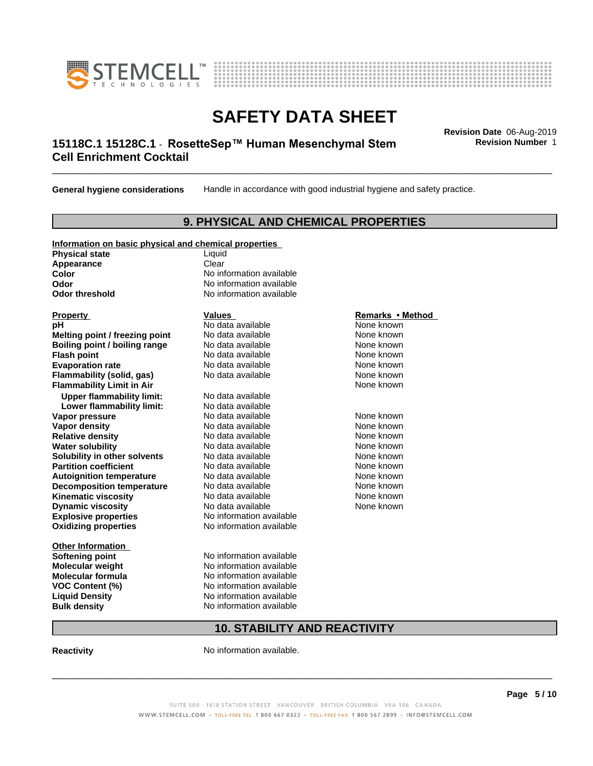



## \_\_\_\_\_\_\_\_\_\_\_\_\_\_\_\_\_\_\_\_\_\_\_\_\_\_\_\_\_\_\_\_\_\_\_\_\_\_\_\_\_\_\_\_\_\_\_\_\_\_\_\_\_\_\_\_\_\_\_\_\_\_\_\_\_\_\_\_\_\_\_\_\_\_\_\_\_\_\_\_\_\_\_\_\_\_\_\_\_\_\_\_\_ **Revision Date** 06-Aug-2019 **15118C.1 15128C.1 - RosetteSep™ Human Mesenchymal Stem Fundity Revision Number 1 Cell Enrichment Cocktail**

**General hygiene considerations** Handle in accordance with good industrial hygiene and safety practice.

## **9. PHYSICAL AND CHEMICAL PROPERTIES**

| Information on basic physical and chemical properties |  |  |
|-------------------------------------------------------|--|--|
|                                                       |  |  |

**Physical state** Liquid **Appearance** Clear<br> **Color** No inf

**Explosive properties**<br> **Oxidizing properties**<br>
No information available **Oxidizing properties Property Remarks •Method Property Remarks •Method pH** No data available None known<br> **Melting point / freezing point** No data available None known **Melting point / freezing point** No data available None known<br> **Boiling point / boiling range** No data available None known **Boiling point / boiling range** No data available None known<br> **Flash point** No data available None known<br>
No data available **Flash point** No data available **Evaporation rate** *rate* No data available **None known Flammability (solid, gas)** No data available None known **Flammability Limit in Air None known None known None known Upper flammability limit:** No data available **Lower flammability limit:** No data available **Vapor pressure No data available None known Vapor density No data available and the None known**<br> **Relative density No data available None known**<br>
No data available **Relative density No data available and the Shown None known**<br> **Water solubility No data available None known None known Water solubility Mo data available**<br> **Solubility in other solvents** No data available **Solubility in other solvents** No data available **None known**<br> **Partition coefficient** No data available **None known**<br>
None known **Partition coefficient**<br> **Autoignition temperature**<br>
No data available **Autoignition temperature No data available None known**<br> **Decomposition temperature** No data available **None known**<br>
None known **Decomposition temperature** No data available<br> **Kinematic viscosity** No data available **Kinematic viscosity No data available None known**<br> **Notata available None known**<br>
Notata available **None known Dynamic viscosity No data available None known** 

**Other Information Softening point** No information available **VOC** Content (%)

**No information available Odor** No information available **Odor threshold** No information available

**Molecular weight Molecular is a structure of the No information available Molecular formula Molecular System No information available**<br>**No information available Liquid Density** No information available **Bulk density** No information available

## **10. STABILITY AND REACTIVITY**

**Reactivity No information available.** 

SUITE 500 - 1618 STATION STREET VANCOUVER BRITISH COLUMBIA V6A 1B6 CANADA WWW.STEMCELL.COM • TOLL-FREE TEL 1 800 667 0322 • TOLL-FREE FAX 1 800 567 2899 • INFO@STEMCELL.COM

 $\overline{\phantom{a}}$  ,  $\overline{\phantom{a}}$  ,  $\overline{\phantom{a}}$  ,  $\overline{\phantom{a}}$  ,  $\overline{\phantom{a}}$  ,  $\overline{\phantom{a}}$  ,  $\overline{\phantom{a}}$  ,  $\overline{\phantom{a}}$  ,  $\overline{\phantom{a}}$  ,  $\overline{\phantom{a}}$  ,  $\overline{\phantom{a}}$  ,  $\overline{\phantom{a}}$  ,  $\overline{\phantom{a}}$  ,  $\overline{\phantom{a}}$  ,  $\overline{\phantom{a}}$  ,  $\overline{\phantom{a}}$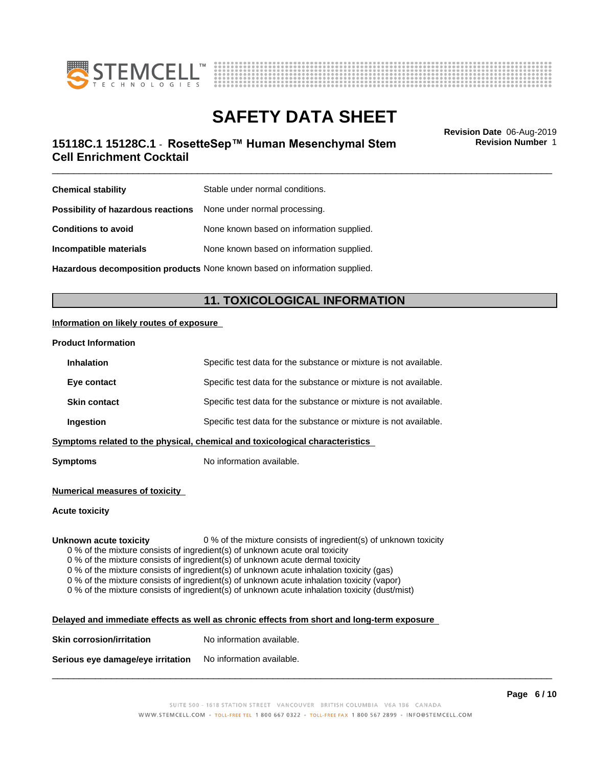



## \_\_\_\_\_\_\_\_\_\_\_\_\_\_\_\_\_\_\_\_\_\_\_\_\_\_\_\_\_\_\_\_\_\_\_\_\_\_\_\_\_\_\_\_\_\_\_\_\_\_\_\_\_\_\_\_\_\_\_\_\_\_\_\_\_\_\_\_\_\_\_\_\_\_\_\_\_\_\_\_\_\_\_\_\_\_\_\_\_\_\_\_\_ **Revision Date** 06-Aug-2019 **15118C.1 15128C.1 - RosetteSep™ Human Mesenchymal Stem Fundity Revision Number 1 Cell Enrichment Cocktail**

**Revision Number** 1

| <b>Chemical stability</b>                                               | Stable under normal conditions.           |
|-------------------------------------------------------------------------|-------------------------------------------|
| <b>Possibility of hazardous reactions</b> None under normal processing. |                                           |
| <b>Conditions to avoid</b>                                              | None known based on information supplied. |
| Incompatible materials                                                  | None known based on information supplied. |
|                                                                         |                                           |

**Hazardous decomposition products** None known based on information supplied.

## **11. TOXICOLOGICAL INFORMATION**

### **Information on likely routes of exposure**

#### **Product Information**

| <b>Inhalation</b>                                                            | Specific test data for the substance or mixture is not available. |  |
|------------------------------------------------------------------------------|-------------------------------------------------------------------|--|
| Eye contact                                                                  | Specific test data for the substance or mixture is not available. |  |
| <b>Skin contact</b>                                                          | Specific test data for the substance or mixture is not available. |  |
| Ingestion                                                                    | Specific test data for the substance or mixture is not available. |  |
| Symptoms related to the physical, chemical and toxicological characteristics |                                                                   |  |
|                                                                              |                                                                   |  |

**Symptoms** No information available.

#### **Numerical measures of toxicity**

#### **Acute toxicity**

**Unknown acute toxicity** 0 % of the mixture consists of ingredient(s) of unknown toxicity

0 % of the mixture consists of ingredient(s) of unknown acute oral toxicity

 $0$  % of the mixture consists of ingredient(s) of unknown acute dermal toxicity

0 % of the mixture consists of ingredient(s) of unknown acute inhalation toxicity (gas)

0 % of the mixture consists of ingredient(s) of unknown acute inhalation toxicity (vapor)

0 % of the mixture consists of ingredient(s) of unknown acute inhalation toxicity (dust/mist)

| Delayed and immediate effects as well as chronic effects from short and long-term exposure |  |
|--------------------------------------------------------------------------------------------|--|
|                                                                                            |  |

| <b>Skin corrosion/irritation</b> | No information available. |
|----------------------------------|---------------------------|
|                                  |                           |

**Serious eye damage/eye irritation** No information available.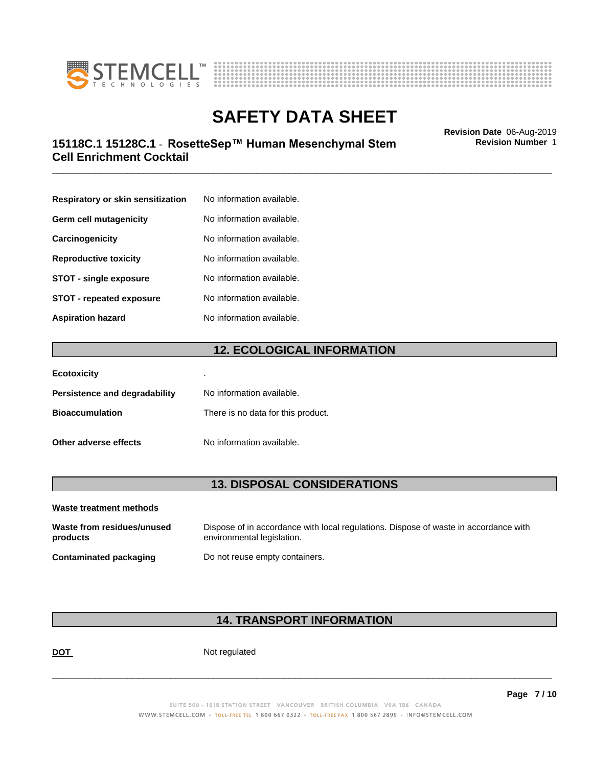



## \_\_\_\_\_\_\_\_\_\_\_\_\_\_\_\_\_\_\_\_\_\_\_\_\_\_\_\_\_\_\_\_\_\_\_\_\_\_\_\_\_\_\_\_\_\_\_\_\_\_\_\_\_\_\_\_\_\_\_\_\_\_\_\_\_\_\_\_\_\_\_\_\_\_\_\_\_\_\_\_\_\_\_\_\_\_\_\_\_\_\_\_\_ **Revision Date** 06-Aug-2019 **15118C.1 15128C.1 - RosetteSep™ Human Mesenchymal Stem Fundity Revision Number 1 Cell Enrichment Cocktail**

**Respiratory or skin sensitization** No information available. **Germ cell mutagenicity** No information available. **Carcinogenicity** No information available. **Reproductive toxicity** No information available. **STOT** - single exposure<br>
No information available. **STOT** - **repeated exposure** No information available. **Aspiration hazard** No information available.

## **12. ECOLOGICAL INFORMATION**

| <b>Ecotoxicity</b>            | ٠                                  |
|-------------------------------|------------------------------------|
| Persistence and degradability | No information available.          |
| <b>Bioaccumulation</b>        | There is no data for this product. |
| Other adverse effects         | No information available.          |

## **13. DISPOSAL CONSIDERATIONS**

| Waste treatment methods                |                                                                                                                    |
|----------------------------------------|--------------------------------------------------------------------------------------------------------------------|
| Waste from residues/unused<br>products | Dispose of in accordance with local regulations. Dispose of waste in accordance with<br>environmental legislation. |
| Contaminated packaging                 | Do not reuse empty containers.                                                                                     |

## **14. TRANSPORT INFORMATION**

**DOT** Not regulated

 $\overline{\phantom{a}}$  ,  $\overline{\phantom{a}}$  ,  $\overline{\phantom{a}}$  ,  $\overline{\phantom{a}}$  ,  $\overline{\phantom{a}}$  ,  $\overline{\phantom{a}}$  ,  $\overline{\phantom{a}}$  ,  $\overline{\phantom{a}}$  ,  $\overline{\phantom{a}}$  ,  $\overline{\phantom{a}}$  ,  $\overline{\phantom{a}}$  ,  $\overline{\phantom{a}}$  ,  $\overline{\phantom{a}}$  ,  $\overline{\phantom{a}}$  ,  $\overline{\phantom{a}}$  ,  $\overline{\phantom{a}}$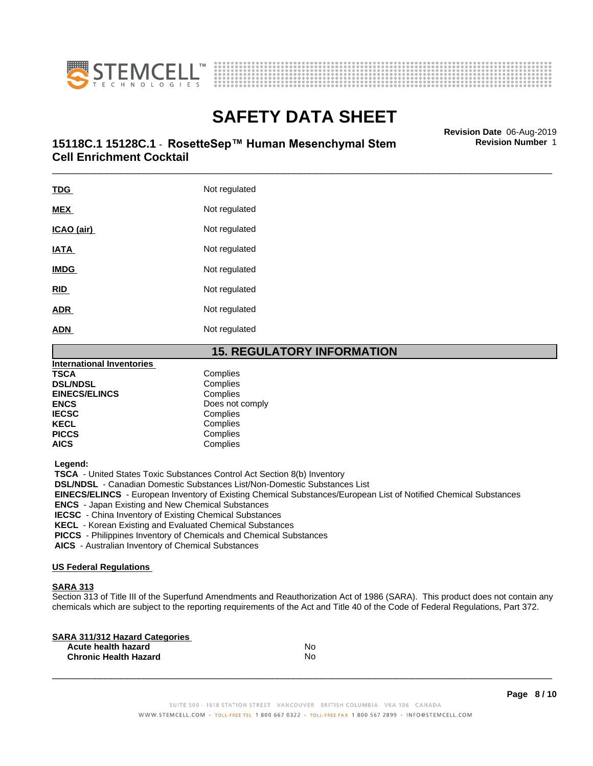



## \_\_\_\_\_\_\_\_\_\_\_\_\_\_\_\_\_\_\_\_\_\_\_\_\_\_\_\_\_\_\_\_\_\_\_\_\_\_\_\_\_\_\_\_\_\_\_\_\_\_\_\_\_\_\_\_\_\_\_\_\_\_\_\_\_\_\_\_\_\_\_\_\_\_\_\_\_\_\_\_\_\_\_\_\_\_\_\_\_\_\_\_\_ **Revision Date** 06-Aug-2019 **15118C.1 15128C.1 - RosetteSep™ Human Mesenchymal Stem Fundity Revision Number 1 Cell Enrichment Cocktail**

TDG Not regulated **MEX** Not regulated **ICAO** (air) Not regulated **IATA** Not regulated **IMDG** Not regulated **RID** Not regulated **ADR** Not regulated **ADN** Not regulated

## **15. REGULATORY INFORMATION**

| <b>International Inventories</b> |                 |  |
|----------------------------------|-----------------|--|
| <b>TSCA</b>                      | Complies        |  |
| <b>DSL/NDSL</b>                  | Complies        |  |
| <b>EINECS/ELINCS</b>             | Complies        |  |
| <b>ENCS</b>                      | Does not comply |  |
| <b>IECSC</b>                     | Complies        |  |
| <b>KECL</b>                      | Complies        |  |
| <b>PICCS</b>                     | Complies        |  |
| <b>AICS</b>                      | Complies        |  |
|                                  |                 |  |

 **Legend:**

 **TSCA** - United States Toxic Substances Control Act Section 8(b) Inventory

 **DSL/NDSL** - Canadian Domestic Substances List/Non-Domestic Substances List

 **EINECS/ELINCS** - European Inventory of Existing Chemical Substances/European List of Notified Chemical Substances

 **ENCS** - Japan Existing and New Chemical Substances

 **IECSC** - China Inventory of Existing Chemical Substances

 **KECL** - Korean Existing and Evaluated Chemical Substances

 **PICCS** - Philippines Inventory of Chemicals and Chemical Substances

 **AICS** - Australian Inventory of Chemical Substances

#### **US Federal Regulations**

### **SARA 313**

Section 313 of Title III of the Superfund Amendments and Reauthorization Act of 1986 (SARA). This product does not contain any chemicals which are subject to the reporting requirements of the Act and Title 40 of the Code of Federal Regulations, Part 372.

| No |  |
|----|--|
| No |  |
|    |  |

 $\overline{\phantom{a}}$  ,  $\overline{\phantom{a}}$  ,  $\overline{\phantom{a}}$  ,  $\overline{\phantom{a}}$  ,  $\overline{\phantom{a}}$  ,  $\overline{\phantom{a}}$  ,  $\overline{\phantom{a}}$  ,  $\overline{\phantom{a}}$  ,  $\overline{\phantom{a}}$  ,  $\overline{\phantom{a}}$  ,  $\overline{\phantom{a}}$  ,  $\overline{\phantom{a}}$  ,  $\overline{\phantom{a}}$  ,  $\overline{\phantom{a}}$  ,  $\overline{\phantom{a}}$  ,  $\overline{\phantom{a}}$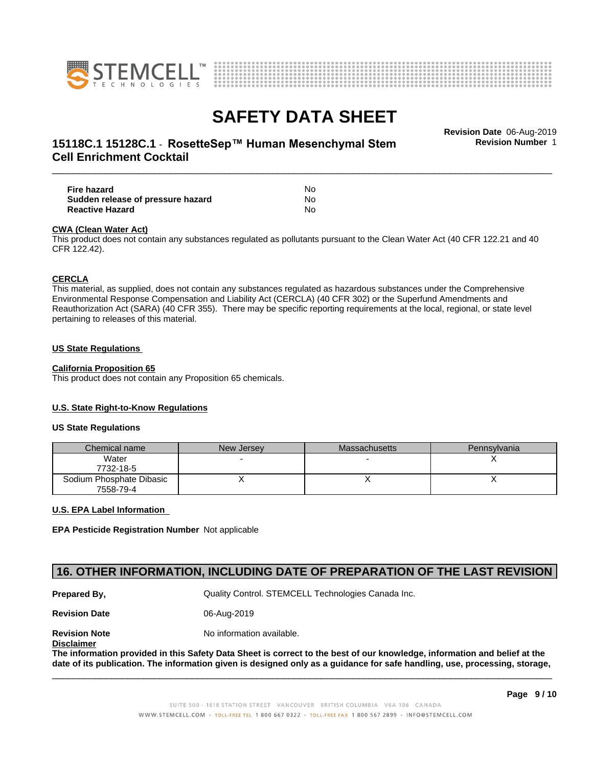



## \_\_\_\_\_\_\_\_\_\_\_\_\_\_\_\_\_\_\_\_\_\_\_\_\_\_\_\_\_\_\_\_\_\_\_\_\_\_\_\_\_\_\_\_\_\_\_\_\_\_\_\_\_\_\_\_\_\_\_\_\_\_\_\_\_\_\_\_\_\_\_\_\_\_\_\_\_\_\_\_\_\_\_\_\_\_\_\_\_\_\_\_\_ **Revision Date** 06-Aug-2019 **15118C.1 15128C.1 - RosetteSep™ Human Mesenchymal Stem Fundity Revision Number 1 Cell Enrichment Cocktail**

**Fire hazard** No **Sudden release of pressure hazard** No **Reactive Hazard** No

#### **CWA** (Clean Water Act)

This product does not contain any substances regulated as pollutants pursuant to the Clean Water Act (40 CFR 122.21 and 40 CFR 122.42).

#### **CERCLA**

This material, as supplied, does not contain any substances regulated as hazardous substances under the Comprehensive Environmental Response Compensation and Liability Act (CERCLA) (40 CFR 302) or the Superfund Amendments and Reauthorization Act (SARA) (40 CFR 355). There may be specific reporting requirements at the local, regional, or state level pertaining to releases of this material.

#### **US State Regulations**

#### **California Proposition 65**

This product does not contain any Proposition 65 chemicals.

#### **U.S. State Right-to-Know Regulations**

#### **US State Regulations**

| Chemical name            | New Jersey | Massachusetts | <b>Pennsylvania</b> |
|--------------------------|------------|---------------|---------------------|
| Water                    |            |               |                     |
| 7732-18-5                |            |               |                     |
| Sodium Phosphate Dibasic |            |               |                     |
| 7558-79-4                |            |               |                     |

#### **U.S. EPA Label Information**

**EPA Pesticide Registration Number** Notapplicable

## **16. OTHER INFORMATION, INCLUDING DATE OF PREPARATION OF THE LAST REVISION**

**Prepared By, State Control. STEMCELL Technologies Canada Inc.** Cuality Control. STEMCELL Technologies Canada Inc.

**Revision Date** 06-Aug-2019

**Revision Note** Noinformation available.

**Disclaimer**

The information provided in this Safety Data Sheet is correct to the best of our knowledge, information and belief at the date of its publication. The information given is designed only as a guidance for safe handling, use, processing, storage,

 $\overline{\phantom{a}}$  ,  $\overline{\phantom{a}}$  ,  $\overline{\phantom{a}}$  ,  $\overline{\phantom{a}}$  ,  $\overline{\phantom{a}}$  ,  $\overline{\phantom{a}}$  ,  $\overline{\phantom{a}}$  ,  $\overline{\phantom{a}}$  ,  $\overline{\phantom{a}}$  ,  $\overline{\phantom{a}}$  ,  $\overline{\phantom{a}}$  ,  $\overline{\phantom{a}}$  ,  $\overline{\phantom{a}}$  ,  $\overline{\phantom{a}}$  ,  $\overline{\phantom{a}}$  ,  $\overline{\phantom{a}}$